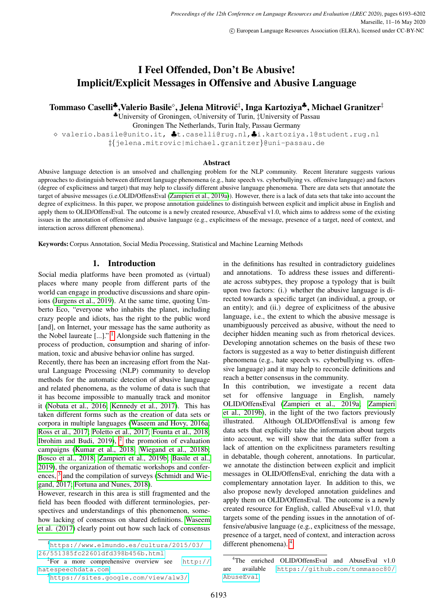# I Feel Offended, Don't Be Abusive! Implicit/Explicit Messages in Offensive and Abusive Language

Tommaso Caselli‡,Valerio Basile°, Jelena Mitrović<sup>‡</sup>, Inga Kartoziya‡, Michael Granitzer‡

 $\bullet$ University of Groningen,  $\diamond$ University of Turin, ‡University of Passau

Groningen The Netherlands, Turin Italy, Passau Germany

 valerio.basile@unito.it, ♣t.caselli@rug.nl,♣i.kartoziya.1@student.rug.nl ‡{jelena.mitrovic|michael.granitzer}@uni-passau.de

#### Abstract

Abusive language detection is an unsolved and challenging problem for the NLP community. Recent literature suggests various approaches to distinguish between different language phenomena (e.g., hate speech vs. cyberbullying vs. offensive language) and factors (degree of explicitness and target) that may help to classify different abusive language phenomena. There are data sets that annotate the target of abusive messages (i.e.OLID/OffensEval [\(Zampieri et al., 2019a\)](#page-9-0)). However, there is a lack of data sets that take into account the degree of explicitness. In this paper, we propose annotation guidelines to distinguish between explicit and implicit abuse in English and apply them to OLID/OffensEval. The outcome is a newly created resource, AbuseEval v1.0, which aims to address some of the existing issues in the annotation of offensive and abusive language (e.g., explicitness of the message, presence of a target, need of context, and interaction across different phenomena).

Keywords:Corpus Annotation, Social Media Processing, Statistical and Machine Learning Methods

## 1. Introduction

Social media platforms have been promoted as (virtual) places where many people from different parts of the world can engage in productive discussions and share opinions [\(Jurgens et al., 2019\)](#page-8-0). At the same time, quoting Umberto Eco, "everyone who inhabits the planet, including crazy people and idiots, has the right to the public word [and], on Internet, your message has the same authority as the Nobel laureate  $[...]$ ." <sup>[1](#page-0-0)</sup> Alongside such flattening in the process of production, consumption and sharing of information, toxic and abusive behavior online has surged.

Recently, there has been an increasing effort from the Natural Language Processing (NLP) community to develop methods for the automatic detection of abusive language and related phenomena, as the volume of data is such that it has become impossible to manually track and monitor it [\(Nobata et al., 2016;](#page-8-1) [Kennedy et al., 2017\)](#page-8-2). This has taken different forms such as the creation of data sets or corpora in multiple languages [\(Waseem and Hovy, 2016a;](#page-9-1) [Ross et al., 2017;](#page-9-2) [Poletto et al., 2017;](#page-9-3) [Founta et al., 2018;](#page-8-3) [Ibrohim and Budi, 2019\)](#page-8-4),  $2$  the promotion of evaluation campaigns [\(Kumar et al., 2018;](#page-8-5) [Wiegand et al., 2018b;](#page-9-4) [Bosco et al., 2018;](#page-8-6) [Zampieri et al., 2019b;](#page-9-5) [Basile et al.,](#page-8-7) [2019\)](#page-8-7), the organization of thematic workshops and confer-ences, <sup>[3](#page-0-2)</sup> and the compilation of surveys [\(Schmidt and Wie](#page-9-6)[gand, 2017;](#page-9-6) [Fortuna and Nunes, 2018\)](#page-8-8).

However, research in this area is still fragmented and the field has been flooded with different terminologies, perspectives and understandings of this phenomenon, somehow lacking of consensus on shared definitions. [Waseem](#page-9-7) [et al. \(2017\)](#page-9-7) clearly point out how such lack of consensus

<span id="page-0-0"></span><sup>1</sup>[https://www.elmundo.es/cultura/2015/03/](https://www.elmundo.es/cultura/2015/03/26/551385fc22601dfd398b456b.html) [26/551385fc22601dfd398b456b.html](https://www.elmundo.es/cultura/2015/03/26/551385fc22601dfd398b456b.html)

in the definitions has resulted in contradictory guidelines and annotations. To address these issues and differentiate across subtypes, they propose a typology that is built upon two factors: (i.) whether the abusive language is directed towards a specific target (an individual, a group, or an entity); and (ii.) degree of explicitness of the abusive language, i.e., the extent to which the abusive message is unambiguously perceived as abusive, without the need to decipher hidden meaning such as from rhetorical devices. Developing annotation schemes on the basis of these two factors is suggested as a way to better distinguish different phenomena (e.g., hate speech vs. cyberbullying vs. offensive language) and it may help to reconcile definitions and reach a better consensus in the community.

In this contribution, we investigate a recent data set for offensive language in English, namely OLID/OffensEval [\(Zampieri et al., 2019a;](#page-9-0) [Zampieri](#page-9-5) [et al., 2019b\)](#page-9-5), in the light of the two factors previously illustrated. Although OLID/OffensEval is among few data sets that explicitly take the information about targets into account, we will show that the data suffer from a lack of attention on the explicitness parameters resulting in debatable, though coherent, annotations. In particular, we annotate the distinction between explicit and implicit messages in OLID/OffensEval, enriching the data with a complementary annotation layer. In addition to this, we also propose newly developed annotation guidelines and apply them on OLID/OffensEval. The outcome is a newly created resource for English, called AbuseEval v1.0, that targets some of the pending issues in the annotation of offensive/abusive language (e.g., explicitness of the message, presence of a target, need of context, and interaction across different phenomena). [4](#page-0-3)

<span id="page-0-1"></span> $2$ For a more comprehensive overview see [http://](http://hatespeechdata.com) [hatespeechdata.com](http://hatespeechdata.com)

<span id="page-0-2"></span><sup>3</sup><https://sites.google.com/view/alw3/>

<span id="page-0-3"></span><sup>&</sup>lt;sup>4</sup>The enriched OLID/OffensEval and AbuseEval v1.0 are available [https://github.com/tommasoc80/](https://github.com/tommasoc80/AbuseEval) [AbuseEval](https://github.com/tommasoc80/AbuseEval)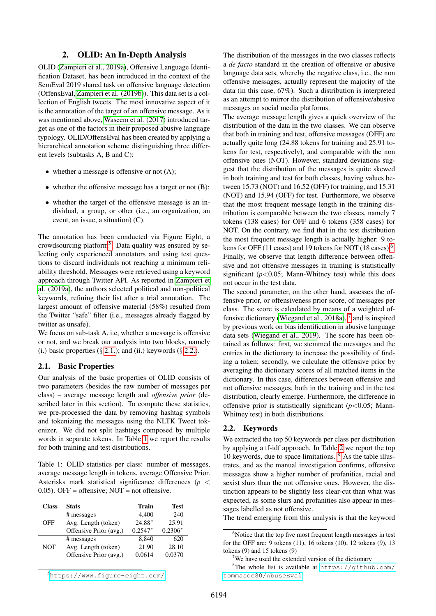## 2. OLID: An In-Depth Analysis

OLID [\(Zampieri et al., 2019a\)](#page-9-0), Offensive Language Identification Dataset, has been introduced in the context of the SemEval 2019 shared task on offensive language detection (OffensEval, [Zampieri et al. \(2019b\)](#page-9-5)). This data set is a collection of English tweets. The most innovative aspect of it is the annotation of the target of an offensive message. As it was mentioned above, [Waseem et al. \(2017\)](#page-9-7) introduced target as one of the factors in their proposed abusive language typology. OLID/OffensEval has been created by applying a hierarchical annotation scheme distinguishing three different levels (subtasks A, B and C):

- whether a message is offensive or not  $(A)$ ;
- whether the offensive message has a target or not (B);
- whether the target of the offensive message is an individual, a group, or other (i.e., an organization, an event, an issue, a situation) (C).

The annotation has been conducted via Figure Eight, a crowdsourcing platform<sup>[5](#page-1-0)</sup>. Data quality was ensured by selecting only experienced annotators and using test questions to discard individuals not reaching a minimum reliability threshold. Messages were retrieved using a keyword approach through Twitter API. As reported in [Zampieri et](#page-9-0) [al. \(2019a\)](#page-9-0), the authors selected political and non-political keywords, refining their list after a trial annotation. The largest amount of offensive material (58%) resulted from the Twitter "safe" filter (i.e., messages already flagged by twitter as unsafe).

We focus on sub-task A, i.e, whether a message is offensive or not, and we break our analysis into two blocks, namely (i.) basic properties  $(\S 2.1.)$  $(\S 2.1.)$ ; and (ii.) keywords  $(\S 2.2.)$  $(\S 2.2.)$ .

#### <span id="page-1-1"></span>2.1. Basic Properties

Our analysis of the basic properties of OLID consists of two parameters (besides the raw number of messages per class) – average message length and *offensive prior* (described later in this section). To compute these statistics, we pre-processed the data by removing hashtag symbols and tokenizing the messages using the NLTK Tweet tokenizer. We did not split hashtags composed by multiple words in separate tokens. In Table [1](#page-1-3) we report the results for both training and test distributions.

<span id="page-1-3"></span>Table 1: OLID statistics per class: number of messages, average message length in tokens, average Offensive Prior. Asterisks mark statistical significance differences (*p* < 0.05). OFF = offensive;  $NOT = not$  offensive.

| <b>Class</b> | <b>Stats</b>           | Train     | <b>Test</b> |
|--------------|------------------------|-----------|-------------|
|              | # messages             | 4.400     | 240         |
| OFF          | Avg. Length (token)    | 24.88*    | 25.91       |
|              | Offensive Prior (avg.) | $0.2547*$ | $0.2306*$   |
| <b>NOT</b>   | # messages             | 8.840     | 620         |
|              | Avg. Length (token)    | 21.90     | 28.10       |
|              | Offensive Prior (avg.) | 0.0614    | 0.0370      |

<span id="page-1-0"></span><sup>5</sup><https://www.figure-eight.com/>

The distribution of the messages in the two classes reflects a *de facto* standard in the creation of offensive or abusive language data sets, whereby the negative class, i.e., the non offensive messages, actually represent the majority of the data (in this case, 67%). Such a distribution is interpreted as an attempt to mirror the distribution of offensive/abusive messages on social media platforms.

The average message length gives a quick overview of the distribution of the data in the two classes. We can observe that both in training and test, offensive messages (OFF) are actually quite long (24.88 tokens for training and 25.91 tokens for test, respectively), and comparable with the non offensive ones (NOT). However, standard deviations suggest that the distribution of the messages is quite skewed in both training and test for both classes, having values between 15.73 (NOT) and 16.52 (OFF) for training, and 15.31 (NOT) and 15.94 (OFF) for test. Furthermore, we observe that the most frequent message length in the training distribution is comparable between the two classes, namely 7 tokens (138 cases) for OFF and 6 tokens (358 cases) for NOT. On the contrary, we find that in the test distribution the most frequent message length is actually higher: 9 to-kens for OFF (11 cases) and 19 tokens for NOT (18 cases)<sup>[6](#page-1-4)</sup>. Finally, we observe that length difference between offensive and not offensive messages in training is statistically significant  $(p<0.05$ ; Mann-Whitney test) while this does not occur in the test data.

The second parameter, on the other hand, assesses the offensive prior, or offensiveness prior score, of messages per class. The score is calculated by means of a weighted of-fensive dictionary [\(Wiegand et al., 2018a\)](#page-9-8),  $^7$  $^7$  and is inspired by previous work on bias identification in abusive language data sets [\(Wiegand et al., 2019\)](#page-9-9). The score has been obtained as follows: first, we stemmed the messages and the entries in the dictionary to increase the possibility of finding a token; secondly, we calculate the offensive prior by averaging the dictionary scores of all matched items in the dictionary. In this case, differences between offensive and not offensive messages, both in the training and in the test distribution, clearly emerge. Furthermore, the difference in offensive prior is statistically significant (*p*<0.05; Mann-Whitney test) in both distributions.

#### <span id="page-1-2"></span>2.2. Keywords

We extracted the top 50 keywords per class per distribution by applying a tf-idf approach. In Table [2](#page-2-0) we report the top 10 keywords, due to space limitations. [8](#page-1-6) As the table illustrates, and as the manual investigation confirms, offensive messages show a higher number of profanities, racial and sexist slurs than the not offensive ones. However, the distinction appears to be slightly less clear-cut than what was expected, as some slurs and profanities also appear in messages labelled as not offensive.

The trend emerging from this analysis is that the keyword

<span id="page-1-4"></span><sup>&</sup>lt;sup>6</sup>Notice that the top five most frequent length messages in test for the OFF are: 9 tokens (11), 16 tokens (10), 12 tokens (9), 13 tokens (9) and 15 tokens (9)

<span id="page-1-6"></span><span id="page-1-5"></span> $7$ We have used the extended version of the dictionary

<sup>&</sup>lt;sup>8</sup>The whole list is available at  $https://github.com/$ [tommasoc80/AbuseEval](https://github.com/tommasoc80/AbuseEval)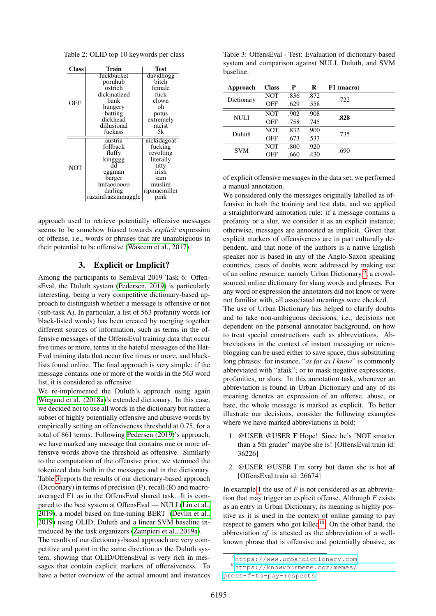<span id="page-2-0"></span>Table 2: OLID top 10 keywords per class

| Class      | Train               | Test         |
|------------|---------------------|--------------|
|            | fuckbucket          | davidhogg    |
|            | pornhub             | bitch        |
|            | ostrich             | female       |
|            | dickmatized         | fuck         |
| OFF        | bunk                | clown        |
|            | hungery             | oh           |
|            | batting             | potus        |
|            | dickhead            | extremely    |
|            | dillusional         | racist       |
|            | fuckass             | 5k           |
|            | austria             | nickidagoat  |
|            | follback            | fucking      |
|            | fluffy              | revolting    |
|            | kingggg<br>dd       | literally    |
| <b>NOT</b> |                     | titty        |
|            | eggman              | irish        |
|            | burger              | sam          |
|            | Imfaoooooo          | muslim       |
|            | darling             | ripmacmiller |
|            | razzinfrazzinmaggle | pink         |

approach used to retrieve potentially offensive messages seems to be somehow biased towards *explicit* expression of offense, i.e., words or phrases that are unambiguous in their potential to be offensive [\(Waseem et al., 2017\)](#page-9-7).

#### 3. Explicit or Implicit?

<span id="page-2-5"></span>Among the participants to SemEval 2019 Task 6: OffensEval, the Duluth system [\(Pedersen, 2019\)](#page-8-9) is particularly interesting, being a very competitive dictionary-based approach to distinguish whether a message is offensive or not (sub-task A). In particular, a list of 563 profanity words (or black-listed words) has been created by merging together different sources of information, such as terms in the offensive messages of the OffensEval training data that occur five times or more, terms in the hateful messages of the Hat-Eval training data that occur five times or more, and blacklists found online. The final approach is very simple: if the message contains one or more of the words in the 563 word list, it is considered as offensive.

We re-implemented the Duluth's approach using again [Wiegand et al. \(2018a\)](#page-9-8)'s extended dictionary. In this case, we decided not to use all words in the dictionary but rather a subset of highly potentially offensive and abusive words by empirically setting an offensiveness threshold at 0.75, for a total of 861 terms. Following [Pedersen \(2019\)](#page-8-9)'s approach, we have marked any message that contains one or more offensive words above the threshold as offensive. Similarly to the computation of the offensive prior, we stemmed the tokenized data both in the messages and in the dictionary. Table [3](#page-2-1) reports the results of our dictionary-based approach (Dictionary) in terms of precision (P), recall (R) and macroaveraged F1 as in the OffensEval shared task. It is compared to the best system at OffensEval — NULI [\(Liu et al.,](#page-8-10) [2019\)](#page-8-10), a model based on fine-tuning BERT [\(Devlin et al.,](#page-8-11) [2019\)](#page-8-11) using OLID; Duluth and a linear SVM baseline introduced by the task organizers [\(Zampieri et al., 2019a\)](#page-9-0).

The results of our dictionary-based approach are very competitive and point in the same direction as the Duluth system, showing that OLID/OffensEval is very rich in messages that contain explicit markers of offensiveness. To have a better overview of the actual amount and instances

<span id="page-2-1"></span>Table 3: OffensEval - Test: Evaluation of dictionary-based system and comparison against NULI, Duluth, and SVM baseline.

| Approach   | <b>Class</b> | P    | R    | F1 (macro) |  |
|------------|--------------|------|------|------------|--|
| Dictionary | NOT          | .836 | .872 | .722       |  |
|            | OFF          | .629 | .558 |            |  |
| NULI       | NOT          | .902 | .908 | .828       |  |
|            | OFF          | .758 | .745 |            |  |
| Duluth     | <b>NOT</b>   | .832 | .900 | .735       |  |
|            | OFF          | .673 | .533 |            |  |
| <b>SVM</b> | NOT          | .800 | .920 | .690       |  |
|            | OFF          | .660 | .430 |            |  |

of explicit offensive messages in the data set, we performed a manual annotation.

We considered only the messages originally labelled as offensive in both the training and test data, and we applied a straightforward annotation rule: if a message contains a profanity or a slur, we consider it as an explicit instance; otherwise, messages are annotated as implicit. Given that explicit markers of offensiveness are in part culturally dependent, and that none of the authors is a native English speaker nor is based in any of the Anglo-Saxon speaking countries, cases of doubts were addressed by making use of an online resource, namely Urban Dictionary<sup>[9](#page-2-2)</sup>, a crowdsourced online dictionary for slang words and phrases. For any word or expression the annotators did not know or were not familiar with, all associated meanings were checked. The use of Urban Dictionary has helped to clarify doubts and to take non-ambiguous decisions, i.e., decisions not dependent on the personal annotator background, on how to treat special constructions such as abbreviations. Abbreviations in the context of instant messaging or microblogging can be used either to save space, thus substituting long phrases: for instance, "*as far as I know*" is commonly abbreviated with "afaik"; or to mask negative expressions, profanities, or slurs. In this annotation task, whenever an abbreviation is found in Urban Dictionary and any of its meaning denotes an expression of an offense, abuse, or hate, the whole message is marked as explicit. To better illustrate our decisions, consider the following examples

<span id="page-2-3"></span>1. @USER @USER F Hope! Since he's 'NOT smarter than a 5th grader' maybe she is! [OffensEval:train id: 36226]

where we have marked abbreviations in bold:

2. @USER @USER I'm sorry but damn she is hot af [OffensEval:train id: 26674]

In example [1](#page-2-3) the use of *F* is not considered as an abbreviation that may trigger an explicit offense. Although *F* exists as an entry in Urban Dictionary, its meaning is highly positive as it is used in the context of online gaming to pay respect to gamers who got killed<sup>[10](#page-2-4)</sup>. On the other hand, the abbreviation *af* is attested as the abbreviation of a wellknown phrase that is offensive and potentially abusive, as

<span id="page-2-4"></span><span id="page-2-2"></span><sup>9</sup><https://www.urbandictionary.com>

<sup>10</sup>[https://knowyourmeme.com/memes/](https://knowyourmeme.com/memes/press-f-to-pay-respects) [press-f-to-pay-respects](https://knowyourmeme.com/memes/press-f-to-pay-respects)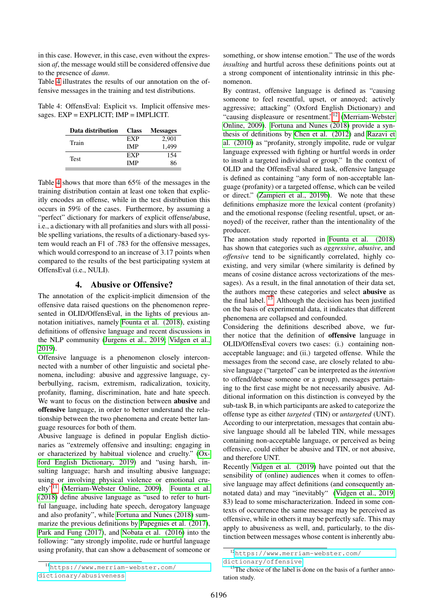in this case. However, in this case, even without the expression *af*, the message would still be considered offensive due to the presence of *damn*.

Table [4](#page-3-0) illustrates the results of our annotation on the offensive messages in the training and test distributions.

<span id="page-3-0"></span>Table 4: OffensEval: Explicit vs. Implicit offensive messages.  $EXP = EXPLICIT$ ;  $IMP = IMPLICIT$ .

| Data distribution | <b>Class</b> | <b>Messages</b> |
|-------------------|--------------|-----------------|
| Train             | EXP          | 2.901           |
|                   | <b>IMP</b>   | 1.499           |
| <b>Test</b>       | EXP          | 154             |
|                   | IMP          | 86              |

Table [4](#page-3-0) shows that more than 65% of the messages in the training distribution contain at least one token that explicitly encodes an offense, while in the test distribution this occurs in 59% of the cases. Furthermore, by assuming a "perfect" dictionary for markers of explicit offense/abuse, i.e., a dictionary with all profanities and slurs with all possible spelling variations, the results of a dictionary-based system would reach an F1 of .783 for the offensive messages, which would correspond to an increase of 3.17 points when compared to the results of the best participating system at OffensEval (i.e., NULI).

## 4. Abusive or Offensive?

<span id="page-3-4"></span>The annotation of the explicit-implicit dimension of the offensive data raised questions on the phenomenon represented in OLID/OffensEval, in the lights of previous annotation initiatives, namely [Founta et al. \(2018\)](#page-8-3), existing definitions of offensive language and recent discussions in the NLP community [\(Jurgens et al., 2019;](#page-8-0) [Vidgen et al.,](#page-9-10) [2019\)](#page-9-10).

Offensive language is a phenomenon closely interconnected with a number of other linguistic and societal phenomena, including: abusive and aggressive language, cyberbullying, racism, extremism, radicalization, toxicity, profanity, flaming, discrimination, hate and hate speech. We want to focus on the distinction between **abusive** and offensive language, in order to better understand the relationship between the two phenomena and create better language resources for both of them.

Abusive language is defined in popular English dictionaries as "extremely offensive and insulting; engaging in or characterized by habitual violence and cruelty." [\(Ox](#page-8-12)[ford English Dictionary, 2019\)](#page-8-12) and "using harsh, insulting language; harsh and insulting abusive language; using or involving physical violence or emotional cruelty"[11](#page-3-1) [\(Merriam-Webster Online, 2009\)](#page-8-13). [Founta et al.](#page-8-3) [\(2018\)](#page-8-3) define abusive language as "used to refer to hurtful language, including hate speech, derogatory language and also profanity", while [Fortuna and Nunes \(2018\)](#page-8-8) summarize the previous definitions by [Papegnies et al. \(2017\)](#page-8-14), [Park and Fung \(2017\)](#page-8-15), and [Nobata et al. \(2016\)](#page-8-1) into the following: "any strongly impolite, rude or hurtful language using profanity, that can show a debasement of someone or something, or show intense emotion." The use of the words *insulting* and hurtful across these definitions points out at a strong component of intentionality intrinsic in this phenomenon.

By contrast, offensive language is defined as "causing someone to feel resentful, upset, or annoyed; actively aggressive; attacking" (Oxford English Dictionary) and "causing displeasure or resentment."[12](#page-3-2) [\(Merriam-Webster](#page-8-13) [Online, 2009\)](#page-8-13). [Fortuna and Nunes \(2018\)](#page-8-8) provide a synthesis of definitions by [Chen et al. \(2012\)](#page-8-16) and [Razavi et](#page-9-11) [al. \(2010\)](#page-9-11) as "profanity, strongly impolite, rude or vulgar language expressed with fighting or hurtful words in order to insult a targeted individual or group." In the context of OLID and the OffensEval shared task, offensive language is defined as containing "any form of non-acceptable language (profanity) or a targeted offense, which can be veiled or direct." [\(Zampieri et al., 2019b\)](#page-9-5). We note that these definitions emphasize more the lexical content (profanity) and the emotional response (feeling resentful, upset, or annoyed) of the receiver, rather than the intentionality of the producer.

The annotation study reported in [Founta et al. \(2018\)](#page-8-3) has shown that categories such as *aggressive*, *abusive*, and *offensive* tend to be significantly correlated, highly coexisting, and very similar (where similarity is defined by means of cosine distance across vectorizations of the messages). As a result, in the final annotation of their data set, the authors merge these categories and select abusive as the final label.  $13$  Although the decision has been justified on the basis of experimental data, it indicates that different phenomena are collapsed and confounded.

Considering the definitions described above, we further notice that the definition of offensive language in OLID/OffensEval covers two cases: (i.) containing nonacceptable language; and (ii.) targeted offense. While the messages from the second case, are closely related to abusive language ("targeted" can be interpreted as the *intention* to offend/debase someone or a group), messages pertaining to the first case might be not necessarily abusive. Additional information on this distinction is conveyed by the sub-task B, in which participants are asked to categorize the offense type as either *targeted* (TIN) or *untargeted* (UNT). According to our interpretation, messages that contain abusive language should all be labeled TIN, while messages containing non-acceptable language, or perceived as being offensive, could either be abusive and TIN, or not abusive, and therefore UNT.

Recently [Vidgen et al. \(2019\)](#page-9-10) have pointed out that the sensibility of (online) audiences when it comes to offensive language may affect definitions (and consequently annotated data) and may "inevitably" [\(Vidgen et al., 2019,](#page-9-10) 83) lead to some mischaracterization. Indeed in some contexts of occurrence the same message may be perceived as offensive, while in others it may be perfectly safe. This may apply to abusiveness as well, and, particularly, to the distinction between messages whose content is inherently abu-

<span id="page-3-2"></span><sup>12</sup>[https://www.merriam-webster.com/](https://www.merriam-webster.com/dictionary/offensive)

[dictionary/offensive](https://www.merriam-webster.com/dictionary/offensive)

<span id="page-3-3"></span><sup>&</sup>lt;sup>13</sup>The choice of the label is done on the basis of a further annotation study.

<span id="page-3-1"></span><sup>11</sup>[https://www.merriam-webster.com/](https://www.merriam-webster.com/dictionary/abusiveness) [dictionary/abusiveness](https://www.merriam-webster.com/dictionary/abusiveness)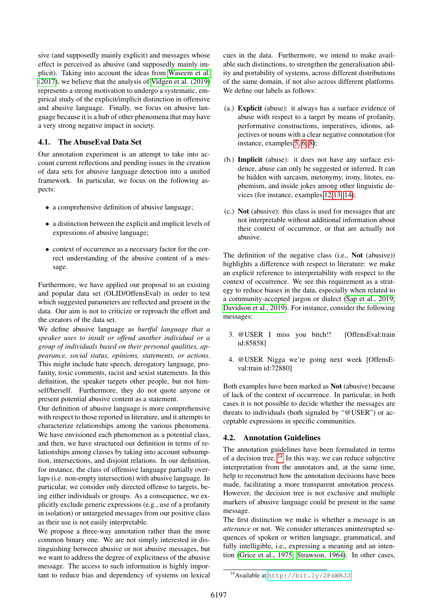sive (and supposedly mainly explicit) and messages whose effect is perceived as abusive (and supposedly mainly implicit). Taking into account the ideas from [Waseem et al.](#page-9-7) [\(2017\)](#page-9-7), we believe that the analysis of [Vidgen et al. \(2019\)](#page-9-10) represents a strong motivation to undergo a systematic, empirical study of the explicit/implicit distinction in offensive and abusive language. Finally, we focus on abusive language because it is a hub of other phenomena that may have a very strong negative impact in society.

## 4.1. The AbuseEval Data Set

Our annotation experiment is an attempt to take into account current reflections and pending issues in the creation of data sets for abusive language detection into a unified framework. In particular, we focus on the following aspects:

- a comprehensive definition of abusive language;
- a distinction between the explicit and implicit levels of expressions of abusive language;
- context of occurrence as a necessary factor for the correct understanding of the abusive content of a message.

Furthermore, we have applied our proposal to an existing and popular data set (OLID/OffensEval) in order to test which suggested parameters are reflected and present in the data. Our aim is not to criticize or reproach the effort and the creators of the data set.

We define abusive language as *hurtful language that a speaker uses to insult or offend another individual or a group of individuals based on their personal qualities, appearance, social status, opinions, statements, or actions*. This might include hate speech, derogatory language, profanity, toxic comments, racist and sexist statements. In this definition, the speaker targets other people, but not himself/herself. Furthermore, they do not quote anyone or present potential abusive content as a statement.

Our definition of abusive language is more comprehensive with respect to those reported in literature, and it attempts to characterize relationships among the various phenomena. We have envisioned each phenomenon as a potential class, and then, we have structured our definition in terms of relationships among classes by taking into account subsumption, intersections, and disjoint relations. In our definition, for instance, the class of offensive language partially overlaps (i.e. non-empty intersection) with abusive language. In particular, we consider only directed offense to targets, being either individuals or groups. As a consequence, we explicitly exclude generic expressions (e.g., use of a profanity in isolation) or untargeted messages from our positive class as their use is not easily interpretable.

We propose a three-way annotation rather than the more common binary one. We are not simply interested in distinguishing between abusive or not abusive messages, but we want to address the degree of explicitness of the abusive message. The access to such information is highly important to reduce bias and dependency of systems on lexical cues in the data. Furthermore, we intend to make available such distinctions, to strengthen the generalisation ability and portability of systems, across different distributions of the same domain, if not also across different platforms. We define our labels as follows:

- (a.) Explicit (abuse): it always has a surface evidence of abuse with respect to a target by means of profanity, performative constructions, imperatives, idioms, adjectives or nouns with a clear negative connotation (for instance, examples [5,](#page-5-0) [6,](#page-5-1) [8\)](#page-5-2);
- (b.) Implicit (abuse): it does not have any surface evidence, abuse can only be suggested or inferred. It can be hidden with sarcasm, metonymy, irony, litotes, euphemism, and inside jokes among other linguistic devices (for instance, examples [12](#page-5-3) [13,](#page-5-4) [14\)](#page-5-5);
- (c.) Not (abusive): this class is used for messages that are not interpretable without additional information about their context of occurrence, or that are actually not abusive.

The definition of the negative class (i.e., Not (abusive)) highlights a difference with respect to literature: we make an explicit reference to interpretability with respect to the context of occurrence. We see this requirement as a strategy to reduce biases in the data, especially when related to a community-accepted jargon or dialect [\(Sap et al., 2019;](#page-9-12) [Davidson et al., 2019\)](#page-8-17). For instance, consider the following messages:

- 3. @USER I miss you bitch!! [OffensEval:train id:85858]
- 4. @USER Nigga we're going next week [OffensEval:train id:72880]

Both examples have been marked as Not (abusive) because of lack of the context of occurrence. In particular, in both cases it is not possible to decide whether the messages are threats to individuals (both signaled by "@USER") or acceptable expressions in specific communities.

## 4.2. Annotation Guidelines

The annotation guidelines have been formulated in terms of a decision tree.  $14$  In this way, we can reduce subjective interpretation from the annotators and, at the same time, help to reconstruct how the annotation decisions have been made, facilitating a more transparent annotation process. However, the decision tree is not exclusive and multiple markers of abusive language could be present in the same message.

The first distinction we make is whether a message is an *utterance* or not. We consider utterances uninterrupted sequences of spoken or written language, grammatical, and fully intelligible, i.e., expressing a meaning and an intention [\(Grice et al., 1975;](#page-8-18) [Strawson, 1964\)](#page-9-13). In other cases,

<span id="page-4-0"></span><sup>14</sup>Available at <http://bit.ly/2PsWRJJ>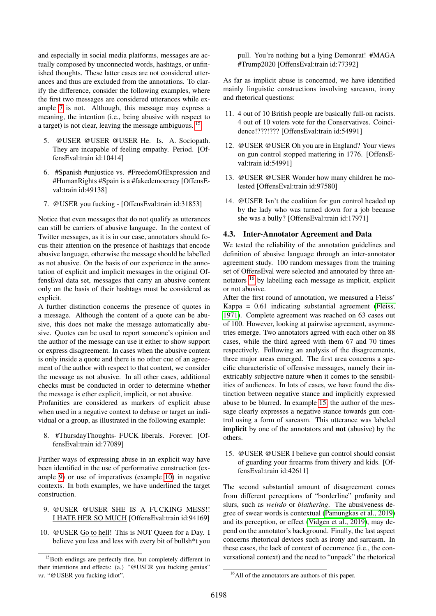and especially in social media platforms, messages are actually composed by unconnected words, hashtags, or unfinished thoughts. These latter cases are not considered utterances and thus are excluded from the annotations. To clarify the difference, consider the following examples, where the first two messages are considered utterances while example [7](#page-5-6) is not. Although, this message may express a meaning, the intention (i.e., being abusive with respect to a target) is not clear, leaving the message ambiguous. [15](#page-5-7)

- <span id="page-5-0"></span>5. @USER @USER @USER He. Is. A. Sociopath. They are incapable of feeling empathy. Period. [OffensEval:train id:10414]
- <span id="page-5-1"></span>6. #Spanish #unjustice vs. #FreedomOfExpression and #HumanRights #Spain is a #fakedemocracy [OffensEval:train id:49138]
- <span id="page-5-6"></span>7. @USER you fucking - [OffensEval:train id:31853]

Notice that even messages that do not qualify as utterances can still be carriers of abusive language. In the context of Twitter messages, as it is in our case, annotators should focus their attention on the presence of hashtags that encode abusive language, otherwise the message should be labelled as not abusive. On the basis of our experience in the annotation of explicit and implicit messages in the original OffensEval data set, messages that carry an abusive content only on the basis of their hashtags must be considered as explicit.

A further distinction concerns the presence of quotes in a message. Although the content of a quote can be abusive, this does not make the message automatically abusive. Quotes can be used to report someone's opinion and the author of the message can use it either to show support or express disagreement. In cases when the abusive content is only inside a quote and there is no other cue of an agreement of the author with respect to that content, we consider the message as not abusive. In all other cases, additional checks must be conducted in order to determine whether the message is ether explicit, implicit, or not abusive.

Profanities are considered as markers of explicit abuse when used in a negative context to debase or target an individual or a group, as illustrated in the following example:

<span id="page-5-2"></span>8. #ThursdayThoughts- FUCK liberals. Forever. [OffensEval:train id:77089]

Further ways of expressing abuse in an explicit way have been identified in the use of performative construction (example [9\)](#page-5-8) or use of imperatives (example [10\)](#page-5-9) in negative contexts. In both examples, we have underlined the target construction.

- <span id="page-5-8"></span>9. @USER @USER SHE IS A FUCKING MESS!! I HATE HER SO MUCH [OffensEval:train id:94169]
- <span id="page-5-9"></span>10. @USER Go to hell! This is NOT Queen for a Day. I believe you less and less with every bit of bullsh\*t you

pull. You're nothing but a lying Demonrat! #MAGA #Trump2020 [OffensEval:train id:77392]

As far as implicit abuse is concerned, we have identified mainly linguistic constructions involving sarcasm, irony and rhetorical questions:

- 11. 4 out of 10 British people are basically full-on racists. 4 out of 10 voters vote for the Conservatives. Coincidence!???!??? [OffensEval:train id:54991]
- <span id="page-5-3"></span>12. @USER @USER Oh you are in England? Your views on gun control stopped mattering in 1776. [OffensEval:train id:54991]
- <span id="page-5-4"></span>13. @USER @USER Wonder how many children he molested [OffensEval:train id:97580]
- <span id="page-5-5"></span>14. @USER Isn't the coalition for gun control headed up by the lady who was turned down for a job because she was a bully? [OffensEval:train id:17971]

## 4.3. Inter-Annotator Agreement and Data

We tested the reliability of the annotation guidelines and definition of abusive language through an inter-annotator agreement study. 100 random messages from the training set of OffensEval were selected and annotated by three annotators [16](#page-5-10) by labelling each message as implicit, explicit or not abusive.

After the first round of annotation, we measured a Fleiss' Kappa = 0.61 indicating substantial agreement [\(Fleiss,](#page-8-19) [1971\)](#page-8-19). Complete agreement was reached on 63 cases out of 100. However, looking at pairwise agreement, asymmetries emerge. Two annotators agreed with each other on 88 cases, while the third agreed with them 67 and 70 times respectively. Following an analysis of the disagreements, three major areas emerged. The first area concerns a specific characteristic of offensive messages, namely their inextricably subjective nature when it comes to the sensibilities of audiences. In lots of cases, we have found the distinction between negative stance and implicitly expressed abuse to be blurred. In example [15,](#page-5-11) the author of the message clearly expresses a negative stance towards gun control using a form of sarcasm. This utterance was labeled implicit by one of the annotators and not (abusive) by the others.

<span id="page-5-11"></span>15. @USER @USER I believe gun control should consist of guarding your firearms from thivery and kids. [OffensEval:train id:42611]

The second substantial amount of disagreement comes from different perceptions of "borderline" profanity and slurs, such as *weirdo* or *blathering*. The abusiveness degree of swear words is contextual [\(Pamungkas et al., 2019\)](#page-8-20) and its perception, or effect [\(Vidgen et al., 2019\)](#page-9-10), may depend on the annotator's background. Finally, the last aspect concerns rhetorical devices such as irony and sarcasm. In these cases, the lack of context of occurrence (i.e., the conversational context) and the need to "unpack" the rhetorical

<span id="page-5-7"></span><sup>&</sup>lt;sup>15</sup>Both endings are perfectly fine, but completely different in their intentions and effects: (a.) "@USER you fucking genius" *vs*. "@USER you fucking idiot".

<span id="page-5-10"></span><sup>&</sup>lt;sup>16</sup>All of the annotators are authors of this paper.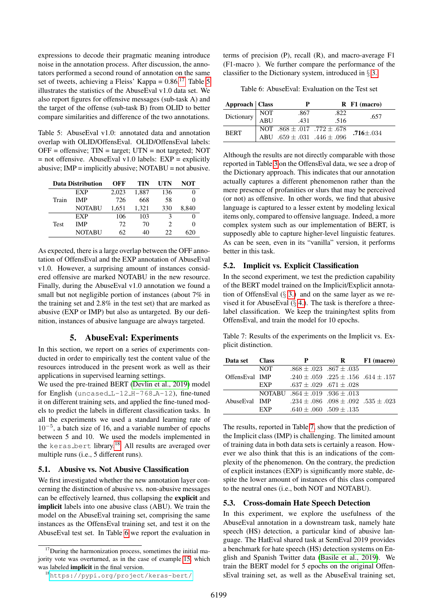expressions to decode their pragmatic meaning introduce noise in the annotation process. After discussion, the annotators performed a second round of annotation on the same set of tweets, achieving a Fleiss' Kappa =  $0.86$ <sup>[17](#page-6-0)</sup> Table [5](#page-6-1) illustrates the statistics of the AbuseEval v1.0 data set. We also report figures for offensive messages (sub-task A) and the target of the offense (sub-task B) from OLID to better compare similarities and difference of the two annotations.

<span id="page-6-1"></span>Table 5: AbuseEval v1.0: annotated data and annotation overlap with OLID/OffensEval. OLID/OffensEval labels:  $OFF = \text{offensive}$ ;  $TIN = \text{target}$ ;  $UTN = \text{not targeted}$ ;  $NOT$  $=$  not offensive. AbuseEval v1.0 labels: EXP  $=$  explicitly abusive; IMP = implicitly abusive; NOTABU = not abusive.

| <b>Data Distribution</b> |               | OFF   | TIN   | UTN            | NOT               |
|--------------------------|---------------|-------|-------|----------------|-------------------|
|                          | EXP           | 2.023 | 1,887 | 136            |                   |
| Train                    | <b>IMP</b>    | 726   | 668   | 58             |                   |
|                          | NOTABU        | 1,651 | 1,321 | 330            | 8,840             |
|                          | EXP           | 106   | 103   | 3              |                   |
| Test                     | <b>IMP</b>    | 72    | 70    | $\mathfrak{D}$ | $\mathbf{\Omega}$ |
|                          | <b>NOTABU</b> | 62    | 40    | 22             | 620               |

As expected, there is a large overlap between the OFF annotation of OffensEval and the EXP annotation of AbuseEval v1.0. However, a surprising amount of instances considered offensive are marked NOTABU in the new resource. Finally, during the AbuseEval v1.0 annotation we found a small but not negligible portion of instances (about 7% in the training set and 2.8% in the test set) that are marked as abusive (EXP or IMP) but also as untargeted. By our definition, instances of abusive language are always targeted.

## 5. AbuseEval: Experiments

In this section, we report on a series of experiments conducted in order to empirically test the content value of the resources introduced in the present work as well as their applications in supervised learning settings.

We used the pre-trained BERT [\(Devlin et al., 2019\)](#page-8-11) model for English (uncased  $L-12$   $H-768$   $A-12$ ), fine-tuned it on different training sets, and applied the fine-tuned models to predict the labels in different classification tasks. In all the experiments we used a standard learning rate of 10<sup>−</sup><sup>5</sup> , a batch size of 16, and a variable number of epochs between 5 and 10. We used the models implemented in the keras bert library.<sup>[18](#page-6-2)</sup> All results are averaged over multiple runs (i.e., 5 different runs).

#### 5.1. Abusive vs. Not Abusive Classification

We first investigated whether the new annotation layer concerning the distinction of abusive vs. non-abusive messages can be effectively learned, thus collapsing the explicit and implicit labels into one abusive class (ABU). We train the model on the AbuseEval training set, comprising the same instances as the OffensEval training set, and test it on the AbuseEval test set. In Table [6](#page-6-3) we report the evaluation in terms of precision (P), recall (R), and macro-average F1 (F1-macro ). We further compare the performance of the classifier to the Dictionary system, introduced in § [3.](#page-2-5)

<span id="page-6-3"></span>Table 6: AbuseEval: Evaluation on the Test set

| Approach   Class |            |                                                                            |      | $R$ F1 (macro)  |
|------------------|------------|----------------------------------------------------------------------------|------|-----------------|
| Dictionary       | NOT<br>ABU | .867                                                                       | .822 | .657            |
|                  |            | .431                                                                       | .516 |                 |
| <b>BERT</b>      |            | NOT $.868 \pm .017$ $.772 \pm .678$<br>ABU $.659 \pm .031$ $.446 \pm .096$ |      | $.716 \pm .034$ |
|                  |            |                                                                            |      |                 |

Although the results are not directly comparable with those reported in Table [3](#page-2-1) on the OffensEval data, we see a drop of the Dictionary approach. This indicates that our annotation actually captures a different phenomenon rather than the mere presence of profanities or slurs that may be perceived (or not) as offensive. In other words, we find that abusive language is captured to a lesser extent by modeling lexical items only, compared to offensive language. Indeed, a more complex system such as our implementation of BERT, is supposedly able to capture higher-level linguistic features. As can be seen, even in its "vanilla" version, it performs better in this task.

#### 5.2. Implicit vs. Explicit Classification

In the second experiment, we test the prediction capability of the BERT model trained on the Implicit/Explicit annotation of OffensEval  $(\S 3)$  and on the same layer as we revised it for AbuseEval  $(\S 4)$ . The task is therefore a threelabel classification. We keep the training/test splits from OffensEval, and train the model for 10 epochs.

<span id="page-6-4"></span>Table 7: Results of the experiments on the Implicit vs. Explicit distinction.

| Data set       | <b>Class</b> | P                                      | R                                               | F1 (macro) |
|----------------|--------------|----------------------------------------|-------------------------------------------------|------------|
| OffensEval IMP | <b>NOT</b>   |                                        | $.868 \pm .023$ $.867 \pm .035$                 |            |
|                |              |                                        | .240 ± .059 .225 ± .156 .614 ± .157             |            |
|                | EXP          |                                        | $.637 \pm .029$ $.671 \pm .028$                 |            |
| AbuseEval IMP  |              | NOTABU $.864 \pm .019$ $.936 \pm .013$ |                                                 |            |
|                |              |                                        | $.234 \pm .086$ $.098 \pm .092$ $.535 \pm .023$ |            |
|                | <b>FXP</b>   |                                        | $.640 \pm .060$ $.509 \pm .135$                 |            |

The results, reported in Table [7,](#page-6-4) show that the prediction of the Implicit class (IMP) is challenging. The limited amount of training data in both data sets is certainly a reason. However we also think that this is an indications of the complexity of the phenomenon. On the contrary, the prediction of explicit instances (EXP) is significantly more stable, despite the lower amount of instances of this class compared to the neutral ones (i.e., both NOT and NOTABU).

#### 5.3. Cross-domain Hate Speech Detection

In this experiment, we explore the usefulness of the AbuseEval annotation in a downstream task, namely hate speech (HS) detection, a particular kind of abusive language. The HatEval shared task at SemEval 2019 provides a benchmark for hate speech (HS) detection systems on English and Spanish Twitter data [\(Basile et al., 2019\)](#page-8-7). We train the BERT model for 5 epochs on the original OffensEval training set, as well as the AbuseEval training set,

<span id="page-6-0"></span><sup>&</sup>lt;sup>17</sup>During the harmonization process, sometimes the initial majority vote was overturned, as in the case of example [15,](#page-5-11) which was labeled implicit in the final version.

<span id="page-6-2"></span><sup>18</sup><https://pypi.org/project/keras-bert/>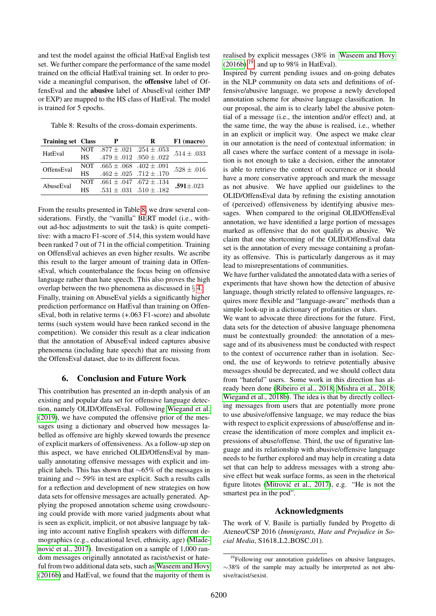and test the model against the official HatEval English test set. We further compare the performance of the same model trained on the official HatEval training set. In order to provide a meaningful comparison, the offensive label of OffensEval and the abusive label of AbuseEval (either IMP or EXP) are mapped to the HS class of HatEval. The model is trained for 5 epochs.

<span id="page-7-0"></span>Table 8: Results of the cross-domain experiments.

| <b>Training set Class</b> |           | P                                   | R | F1 (macro)      |
|---------------------------|-----------|-------------------------------------|---|-----------------|
| HatEval                   |           | NOT $.877 \pm .021$ $.254 \pm .053$ |   | $.514 \pm .033$ |
|                           | <b>HS</b> | $.479 \pm .012$ $.950 \pm .022$     |   |                 |
| OffensEval                |           | NOT $.665 \pm .068$ $.402 \pm .091$ |   | $.528 \pm .016$ |
|                           | <b>HS</b> | $.462 \pm .025$ .712 $\pm .170$     |   |                 |
| AbuseEval                 | NOT.      | $.661 \pm .047$ $.672 \pm .134$     |   | $.591 + .023$   |
|                           | НS        | $.531 \pm .031$ $.510 \pm .182$     |   |                 |

From the results presented in Table [8,](#page-7-0) we draw several considerations. Firstly, the "vanilla" BERT model (i.e., without ad-hoc adjustments to suit the task) is quite competitive: with a macro F1-score of .514, this system would have been ranked 7 out of 71 in the official competition. Training on OffensEval achieves an even higher results. We ascribe this result to the larger amount of training data in OffensEval, which counterbalance the focus being on offensive language rather than hate speech. This also proves the high overlap between the two phenomena as discussed in § [4.](#page-3-4)

Finally, training on AbuseEval yields a significantly higher prediction performance on HatEval than training on OffensEval, both in relative terms (+.063 F1-score) and absolute terms (such system would have been ranked second in the competition). We consider this result as a clear indication that the annotation of AbuseEval indeed captures abusive phenomena (including hate speech) that are missing from the OffensEval dataset, due to its different focus.

## 6. Conclusion and Future Work

This contribution has presented an in-depth analysis of an existing and popular data set for offensive language detection, namely OLID/OffensEval. Following [Wiegand et al.](#page-9-9) [\(2019\)](#page-9-9), we have computed the offensive prior of the messages using a dictionary and observed how messages labelled as offensive are highly skewed towards the presence of explicit markers of offensiveness. As a follow-up step on this aspect, we have enriched OLID/OffensEval by manually annotating offensive messages with explicit and implicit labels. This has shown that ∼65% of the messages in training and ∼ 59% in test are explicit. Such a results calls for a reflection and development of new strategies on how data sets for offensive messages are actually generated. Applying the proposed annotation scheme using crowdsourcing could provide with more varied judgments about what is seen as explicit, implicit, or not abusive language by taking into account native English speakers with different demographics (e.g., educational level, ethnicity, age) [\(Mlade](#page-8-21)nović et al., 2017). Investigation on a sample of 1,000 random messages originally annotated as racist/sexist or hateful from two additional data sets, such as [Waseem and Hovy](#page-9-14) [\(2016b\)](#page-9-14) and HatEval, we found that the majority of them is realised by explicit messages (38% in [Waseem and Hovy](#page-9-14)  $(2016b)$  <sup>[19](#page-7-1)</sup>, and up to 98% in HatEval).

Inspired by current pending issues and on-going debates in the NLP community on data sets and definitions of offensive/abusive language, we propose a newly developed annotation scheme for abusive language classification. In our proposal, the aim is to clearly label the abusive potential of a message (i.e., the intention and/or effect) and, at the same time, the way the abuse is realised, i.e., whether in an explicit or implicit way. One aspect we make clear in our annotation is the need of contextual information: in all cases where the surface content of a message in isolation is not enough to take a decision, either the annotator is able to retrieve the context of occurrence or it should have a more conservative approach and mark the message as not abusive. We have applied our guidelines to the OLID/OffensEval data by refining the existing annotation of (perceived) offensiveness by identifying abusive messages. When compared to the original OLID/OffensEval annotation, we have identified a large portion of messages marked as offensive that do not qualify as abusive. We claim that one shortcoming of the OLID/OffensEval data set is the annotation of every message containing a profanity as offensive. This is particularly dangerous as it may lead to misrepresentations of communities.

We have further validated the annotated data with a series of experiments that have shown how the detection of abusive language, though strictly related to offensive languages, requires more flexible and "language-aware" methods than a simple look-up in a dictionary of profanities or slurs.

We want to advocate three directions for the future. First, data sets for the detection of abusive language phenomena must be contextually grounded: the annotation of a message and of its abusiveness must be conducted with respect to the context of occurrence rather than in isolation. Second, the use of keywords to retrieve potentially abusive messages should be deprecated, and we should collect data from "hateful" users. Some work in this direction has already been done [\(Ribeiro et al., 2018;](#page-9-15) [Mishra et al., 2018;](#page-8-22) [Wiegand et al., 2018b\)](#page-9-4). The idea is that by directly collecting messages from users that are potentially more prone to use abusive/offensive language, we may reduce the bias with respect to explicit expressions of abuse/offense and increase the identification of more complex and implicit expressions of abuse/offense. Third, the use of figurative language and its relationship with abusive/offensive language needs to be further explored and may help in creating a data set that can help to address messages with a strong abusive effect but weak surface forms, as seen in the rhetorical figure litotes (Mitrović et al., 2017), e.g. "He is not the smartest pea in the pod".

# Acknowledgments

The work of V. Basile is partially funded by Progetto di Ateneo/CSP 2016 (*Immigrants, Hate and Prejudice in Social Media*, S1618<sub>L2</sub>BOSC<sub>-01</sub>).

<span id="page-7-1"></span><sup>&</sup>lt;sup>19</sup>Following our annotation guidelines on abusive languages, ∼38% of the sample may actually be interpreted as not abusive/racist/sexist.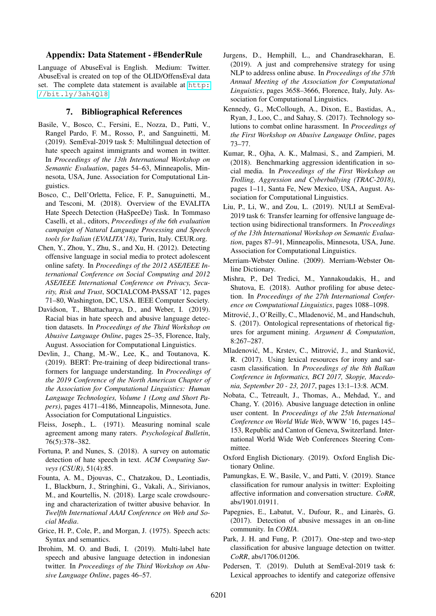#### Appendix: Data Statement - #BenderRule

Language of AbuseEval is English. Medium: Twitter. AbuseEval is created on top of the OLID/OffensEval data set. The complete data statement is available at [http:](http://bit.ly/3ah4Ql8) [//bit.ly/3ah4Ql8](http://bit.ly/3ah4Ql8)

#### 7. Bibliographical References

- <span id="page-8-7"></span>Basile, V., Bosco, C., Fersini, E., Nozza, D., Patti, V., Rangel Pardo, F. M., Rosso, P., and Sanguinetti, M. (2019). SemEval-2019 task 5: Multilingual detection of hate speech against immigrants and women in twitter. In *Proceedings of the 13th International Workshop on Semantic Evaluation*, pages 54–63, Minneapolis, Minnesota, USA, June. Association for Computational Linguistics.
- <span id="page-8-6"></span>Bosco, C., Dell'Orletta, Felice, F. P., Sanuguinetti, M., and Tesconi, M. (2018). Overview of the EVALITA Hate Speech Detection (HaSpeeDe) Task. In Tommaso Caselli, et al., editors, *Proceedings of the 6th evaluation campaign of Natural Language Processing and Speech tools for Italian (EVALITA'18)*, Turin, Italy. CEUR.org.
- <span id="page-8-16"></span>Chen, Y., Zhou, Y., Zhu, S., and Xu, H. (2012). Detecting offensive language in social media to protect adolescent online safety. In *Proceedings of the 2012 ASE/IEEE International Conference on Social Computing and 2012 ASE/IEEE International Conference on Privacy, Security, Risk and Trust*, SOCIALCOM-PASSAT '12, pages 71–80, Washington, DC, USA. IEEE Computer Society.
- <span id="page-8-17"></span>Davidson, T., Bhattacharya, D., and Weber, I. (2019). Racial bias in hate speech and abusive language detection datasets. In *Proceedings of the Third Workshop on Abusive Language Online*, pages 25–35, Florence, Italy, August. Association for Computational Linguistics.
- <span id="page-8-11"></span>Devlin, J., Chang, M.-W., Lee, K., and Toutanova, K. (2019). BERT: Pre-training of deep bidirectional transformers for language understanding. In *Proceedings of the 2019 Conference of the North American Chapter of the Association for Computational Linguistics: Human Language Technologies, Volume 1 (Long and Short Papers)*, pages 4171–4186, Minneapolis, Minnesota, June. Association for Computational Linguistics.
- <span id="page-8-19"></span>Fleiss, Joseph., L. (1971). Measuring nominal scale agreement among many raters. *Psychological Bulletin*, 76(5):378–382.
- <span id="page-8-8"></span>Fortuna, P. and Nunes, S. (2018). A survey on automatic detection of hate speech in text. *ACM Computing Surveys (CSUR)*, 51(4):85.
- <span id="page-8-3"></span>Founta, A. M., Djouvas, C., Chatzakou, D., Leontiadis, I., Blackburn, J., Stringhini, G., Vakali, A., Sirivianos, M., and Kourtellis, N. (2018). Large scale crowdsourcing and characterization of twitter abusive behavior. In *Twelfth International AAAI Conference on Web and Social Media*.
- <span id="page-8-18"></span>Grice, H. P., Cole, P., and Morgan, J. (1975). Speech acts: Syntax and semantics.
- <span id="page-8-4"></span>Ibrohim, M. O. and Budi, I. (2019). Multi-label hate speech and abusive language detection in indonesian twitter. In *Proceedings of the Third Workshop on Abusive Language Online*, pages 46–57.
- <span id="page-8-0"></span>Jurgens, D., Hemphill, L., and Chandrasekharan, E. (2019). A just and comprehensive strategy for using NLP to address online abuse. In *Proceedings of the 57th Annual Meeting of the Association for Computational Linguistics*, pages 3658–3666, Florence, Italy, July. Association for Computational Linguistics.
- <span id="page-8-2"></span>Kennedy, G., McCollough, A., Dixon, E., Bastidas, A., Ryan, J., Loo, C., and Sahay, S. (2017). Technology solutions to combat online harassment. In *Proceedings of the First Workshop on Abusive Language Online*, pages 73–77.
- <span id="page-8-5"></span>Kumar, R., Ojha, A. K., Malmasi, S., and Zampieri, M. (2018). Benchmarking aggression identification in social media. In *Proceedings of the First Workshop on Trolling, Aggression and Cyberbullying (TRAC-2018)*, pages 1–11, Santa Fe, New Mexico, USA, August. Association for Computational Linguistics.
- <span id="page-8-10"></span>Liu, P., Li, W., and Zou, L. (2019). NULI at SemEval-2019 task 6: Transfer learning for offensive language detection using bidirectional transformers. In *Proceedings of the 13th International Workshop on Semantic Evaluation*, pages 87–91, Minneapolis, Minnesota, USA, June. Association for Computational Linguistics.
- <span id="page-8-13"></span>Merriam-Webster Online. (2009). Merriam-Webster Online Dictionary.
- <span id="page-8-22"></span>Mishra, P., Del Tredici, M., Yannakoudakis, H., and Shutova, E. (2018). Author profiling for abuse detection. In *Proceedings of the 27th International Conference on Computational Linguistics*, pages 1088–1098.
- <span id="page-8-23"></span>Mitrović, J., O'Reilly, C., Mladenović, M., and Handschuh, S. (2017). Ontological representations of rhetorical figures for argument mining. *Argument & Computation*, 8:267–287.
- <span id="page-8-21"></span>Mladenović, M., Krstev, C., Mitrović, J., and Stanković, R. (2017). Using lexical resources for irony and sarcasm classification. In *Proceedings of the 8th Balkan Conference in Informatics, BCI 2017, Skopje, Macedonia, September 20 - 23, 2017*, pages 13:1–13:8. ACM.
- <span id="page-8-1"></span>Nobata, C., Tetreault, J., Thomas, A., Mehdad, Y., and Chang, Y. (2016). Abusive language detection in online user content. In *Proceedings of the 25th International Conference on World Wide Web*, WWW '16, pages 145– 153, Republic and Canton of Geneva, Switzerland. International World Wide Web Conferences Steering Committee.
- <span id="page-8-12"></span>Oxford English Dictionary. (2019). Oxford English Dictionary Online.
- <span id="page-8-20"></span>Pamungkas, E. W., Basile, V., and Patti, V. (2019). Stance classification for rumour analysis in twitter: Exploiting affective information and conversation structure. *CoRR*, abs/1901.01911.
- <span id="page-8-14"></span>Papegnies, E., Labatut, V., Dufour, R., and Linarès, G. (2017). Detection of abusive messages in an on-line community. In *CORIA*.
- <span id="page-8-15"></span>Park, J. H. and Fung, P. (2017). One-step and two-step classification for abusive language detection on twitter. *CoRR*, abs/1706.01206.
- <span id="page-8-9"></span>Pedersen, T. (2019). Duluth at SemEval-2019 task 6: Lexical approaches to identify and categorize offensive